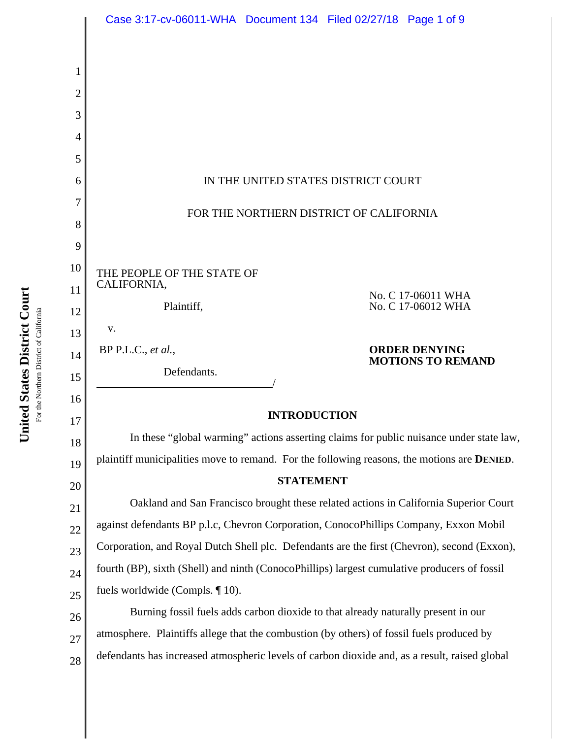|    | Case 3:17-cv-06011-WHA  Document 134  Filed 02/27/18  Page 1 of 9                                   |
|----|-----------------------------------------------------------------------------------------------------|
|    |                                                                                                     |
| 1  |                                                                                                     |
| 2  |                                                                                                     |
| 3  |                                                                                                     |
| 4  |                                                                                                     |
| 5  |                                                                                                     |
| 6  | IN THE UNITED STATES DISTRICT COURT                                                                 |
| 7  |                                                                                                     |
| 8  | FOR THE NORTHERN DISTRICT OF CALIFORNIA                                                             |
| 9  |                                                                                                     |
| 10 | THE PEOPLE OF THE STATE OF                                                                          |
| 11 | CALIFORNIA,<br>No. C 17-06011 WHA                                                                   |
| 12 | No. C 17-06012 WHA<br>Plaintiff,                                                                    |
| 13 | V.                                                                                                  |
| 14 | <b>ORDER DENYING</b><br>$BP$ P.L.C., et al.,<br><b>MOTIONS TO REMAND</b>                            |
| 15 | Defendants.                                                                                         |
| 16 |                                                                                                     |
| 17 | <b>INTRODUCTION</b>                                                                                 |
| 18 | In these "global warming" actions asserting claims for public nuisance under state law,             |
| 19 | plaintiff municipalities move to remand. For the following reasons, the motions are <b>DENIED</b> . |
| 20 | <b>STATEMENT</b>                                                                                    |
| 21 | Oakland and San Francisco brought these related actions in California Superior Court                |
| 22 | against defendants BP p.l.c, Chevron Corporation, ConocoPhillips Company, Exxon Mobil               |
| 23 | Corporation, and Royal Dutch Shell plc. Defendants are the first (Chevron), second (Exxon),         |
| 24 | fourth (BP), sixth (Shell) and ninth (ConocoPhillips) largest cumulative producers of fossil        |
| 25 | fuels worldwide (Compls. $\P$ 10).                                                                  |
| 26 | Burning fossil fuels adds carbon dioxide to that already naturally present in our                   |
| 27 | atmosphere. Plaintiffs allege that the combustion (by others) of fossil fuels produced by           |
| 28 | defendants has increased atmospheric levels of carbon dioxide and, as a result, raised global       |

United States District Court **United States District Court** For the Northern District of California For the Northern District of California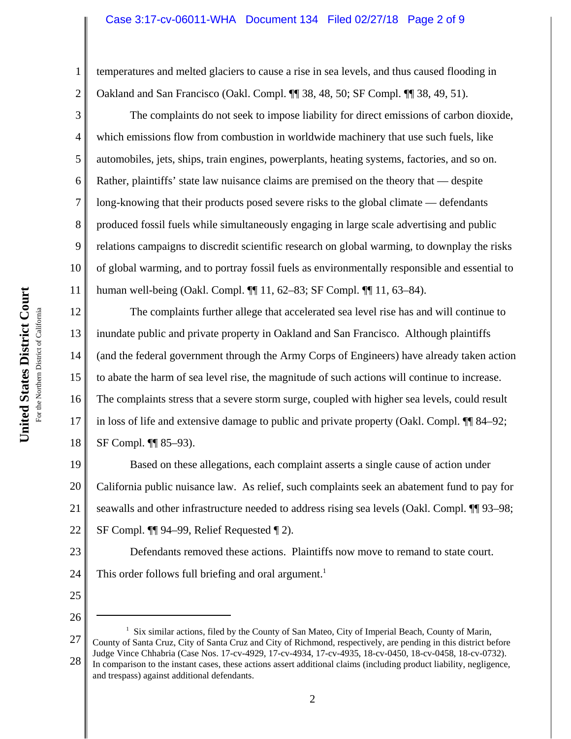# Case 3:17-cv-06011-WHA Document 134 Filed 02/27/18 Page 2 of 9

temperatures and melted glaciers to cause a rise in sea levels, and thus caused flooding in Oakland and San Francisco (Oakl. Compl. ¶¶ 38, 48, 50; SF Compl. ¶¶ 38, 49, 51).

The complaints do not seek to impose liability for direct emissions of carbon dioxide, which emissions flow from combustion in worldwide machinery that use such fuels, like automobiles, jets, ships, train engines, powerplants, heating systems, factories, and so on. Rather, plaintiffs' state law nuisance claims are premised on the theory that — despite long-knowing that their products posed severe risks to the global climate — defendants produced fossil fuels while simultaneously engaging in large scale advertising and public relations campaigns to discredit scientific research on global warming, to downplay the risks of global warming, and to portray fossil fuels as environmentally responsible and essential to human well-being (Oakl. Compl. ¶¶ 11, 62–83; SF Compl. ¶¶ 11, 63–84).

12 13 14 15 16 17 18 The complaints further allege that accelerated sea level rise has and will continue to inundate public and private property in Oakland and San Francisco. Although plaintiffs (and the federal government through the Army Corps of Engineers) have already taken action to abate the harm of sea level rise, the magnitude of such actions will continue to increase. The complaints stress that a severe storm surge, coupled with higher sea levels, could result in loss of life and extensive damage to public and private property (Oakl. Compl. ¶¶ 84–92; SF Compl. ¶¶ 85–93).

19 20 21 22 Based on these allegations, each complaint asserts a single cause of action under California public nuisance law. As relief, such complaints seek an abatement fund to pay for seawalls and other infrastructure needed to address rising sea levels (Oakl. Compl.  $\P$ ] 93–98; SF Compl. ¶¶ 94–99, Relief Requested ¶ 2).

23 24 Defendants removed these actions. Plaintiffs now move to remand to state court. This order follows full briefing and oral argument.<sup>1</sup>

25

26

1

2

3

4

5

6

7

8

9

10

<sup>27</sup> 28 <sup>1</sup> Six similar actions, filed by the County of San Mateo, City of Imperial Beach, County of Marin, County of Santa Cruz, City of Santa Cruz and City of Richmond, respectively, are pending in this district before Judge Vince Chhabria (Case Nos. 17-cv-4929, 17-cv-4934, 17-cv-4935, 18-cv-0450, 18-cv-0458, 18-cv-0732). In comparison to the instant cases, these actions assert additional claims (including product liability, negligence, and trespass) against additional defendants.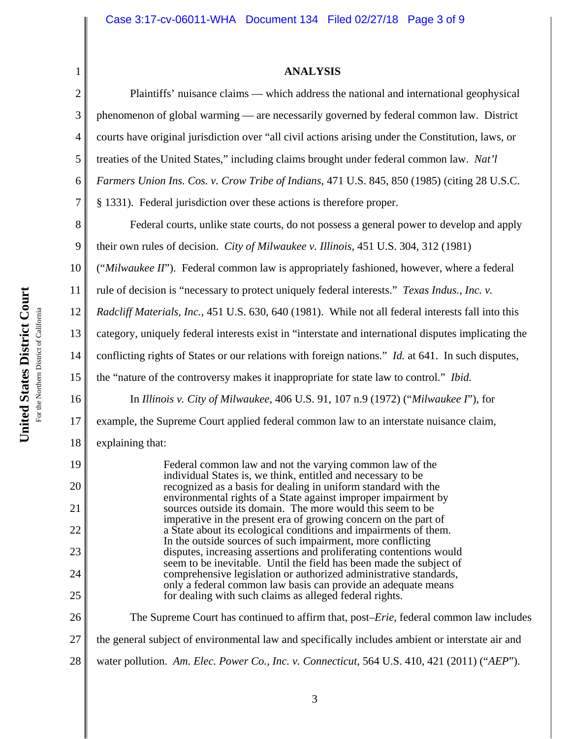# **ANALYSIS**

| 1              | <b>ANALYSIS</b>                                                                                                                            |
|----------------|--------------------------------------------------------------------------------------------------------------------------------------------|
| $\mathbf{2}$   | Plaintiffs' nuisance claims — which address the national and international geophysical                                                     |
| 3              | phenomenon of global warming — are necessarily governed by federal common law. District                                                    |
| $\overline{4}$ | courts have original jurisdiction over "all civil actions arising under the Constitution, laws, or                                         |
| 5              | treaties of the United States," including claims brought under federal common law. Nat'l                                                   |
| 6              | Farmers Union Ins. Cos. v. Crow Tribe of Indians, 471 U.S. 845, 850 (1985) (citing 28 U.S.C.                                               |
| 7              | § 1331). Federal jurisdiction over these actions is therefore proper.                                                                      |
| 8              | Federal courts, unlike state courts, do not possess a general power to develop and apply                                                   |
| 9              | their own rules of decision. City of Milwaukee v. Illinois, 451 U.S. 304, 312 (1981)                                                       |
| 10             | ("Milwaukee II"). Federal common law is appropriately fashioned, however, where a federal                                                  |
| 11             | rule of decision is "necessary to protect uniquely federal interests." Texas Indus., Inc. v.                                               |
| 12             | Radcliff Materials, Inc., 451 U.S. 630, 640 (1981). While not all federal interests fall into this                                         |
| 13             | category, uniquely federal interests exist in "interstate and international disputes implicating the                                       |
| 14             | conflicting rights of States or our relations with foreign nations." <i>Id.</i> at 641. In such disputes,                                  |
| 15             | the "nature of the controversy makes it inappropriate for state law to control." Ibid.                                                     |
| 16             | In Illinois v. City of Milwaukee, 406 U.S. 91, 107 n.9 (1972) ("Milwaukee $\Gamma$ "), for                                                 |
| 17             | example, the Supreme Court applied federal common law to an interstate nuisance claim,                                                     |
| 18             | explaining that:                                                                                                                           |
| 19             | Federal common law and not the varying common law of the<br>individual States is, we think, entitled and necessary to be                   |
| 20             | recognized as a basis for dealing in uniform standard with the<br>environmental rights of a State against improper impairment by           |
| 21             | sources outside its domain. The more would this seem to be<br>imperative in the present era of growing concern on the part of              |
| 22             | a State about its ecological conditions and impairments of them.<br>In the outside sources of such impairment, more conflicting            |
| 23             | disputes, increasing assertions and proliferating contentions would<br>seem to be inevitable. Until the field has been made the subject of |
| 24             | comprehensive legislation or authorized administrative standards,<br>only a federal common law basis can provide an adequate means         |
| 25             | for dealing with such claims as alleged federal rights.                                                                                    |
| 26             | The Supreme Court has continued to affirm that, post– <i>Erie</i> , federal common law includes                                            |
| 27             | the general subject of environmental law and specifically includes ambient or interstate air and                                           |
| 28             | water pollution. Am. Elec. Power Co., Inc. v. Connecticut, 564 U.S. 410, 421 (2011) ("AEP").                                               |
|                |                                                                                                                                            |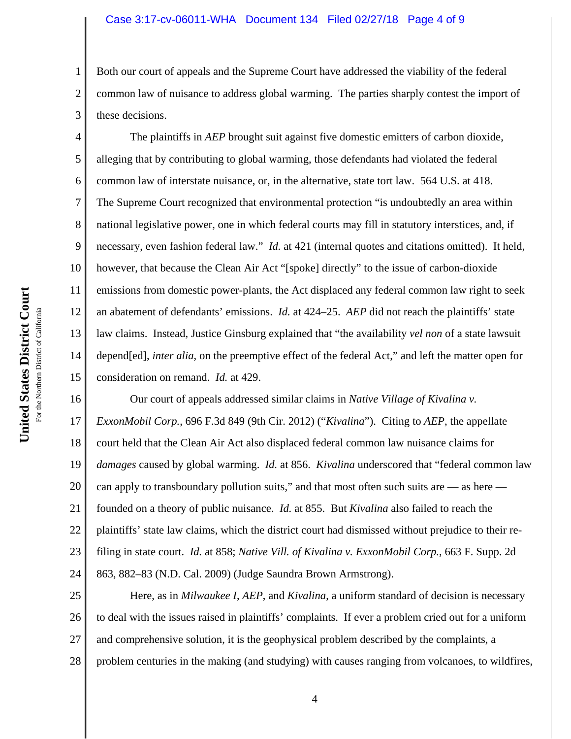#### Case 3:17-cv-06011-WHA Document 134 Filed 02/27/18 Page 4 of 9

3 Both our court of appeals and the Supreme Court have addressed the viability of the federal common law of nuisance to address global warming. The parties sharply contest the import of these decisions.

4 5 6 7 8 9 10 11 12 13 14 15 The plaintiffs in *AEP* brought suit against five domestic emitters of carbon dioxide, alleging that by contributing to global warming, those defendants had violated the federal common law of interstate nuisance, or, in the alternative, state tort law. 564 U.S. at 418. The Supreme Court recognized that environmental protection "is undoubtedly an area within national legislative power, one in which federal courts may fill in statutory interstices, and, if necessary, even fashion federal law." *Id.* at 421 (internal quotes and citations omitted). It held, however, that because the Clean Air Act "[spoke] directly" to the issue of carbon-dioxide emissions from domestic power-plants, the Act displaced any federal common law right to seek an abatement of defendants' emissions. *Id.* at 424–25. *AEP* did not reach the plaintiffs' state law claims. Instead, Justice Ginsburg explained that "the availability *vel non* of a state lawsuit depend[ed], *inter alia*, on the preemptive effect of the federal Act," and left the matter open for consideration on remand. *Id.* at 429.

16 17 18 19 20 21 22 23 24 Our court of appeals addressed similar claims in *Native Village of Kivalina v. ExxonMobil Corp.*, 696 F.3d 849 (9th Cir. 2012) ("*Kivalina*"). Citing to *AEP*, the appellate court held that the Clean Air Act also displaced federal common law nuisance claims for *damages* caused by global warming. *Id.* at 856. *Kivalina* underscored that "federal common law can apply to transboundary pollution suits," and that most often such suits are  $-$  as here  $$ founded on a theory of public nuisance. *Id.* at 855.But *Kivalina* also failed to reach the plaintiffs' state law claims, which the district court had dismissed without prejudice to their refiling in state court. *Id.* at 858; *Native Vill. of Kivalina v. ExxonMobil Corp.*, 663 F. Supp. 2d 863, 882–83 (N.D. Cal. 2009) (Judge Saundra Brown Armstrong).

25 26 27 28 Here, as in *Milwaukee I*, *AEP*, and *Kivalina*, a uniform standard of decision is necessary to deal with the issues raised in plaintiffs' complaints. If ever a problem cried out for a uniform and comprehensive solution, it is the geophysical problem described by the complaints, a problem centuries in the making (and studying) with causes ranging from volcanoes, to wildfires,

1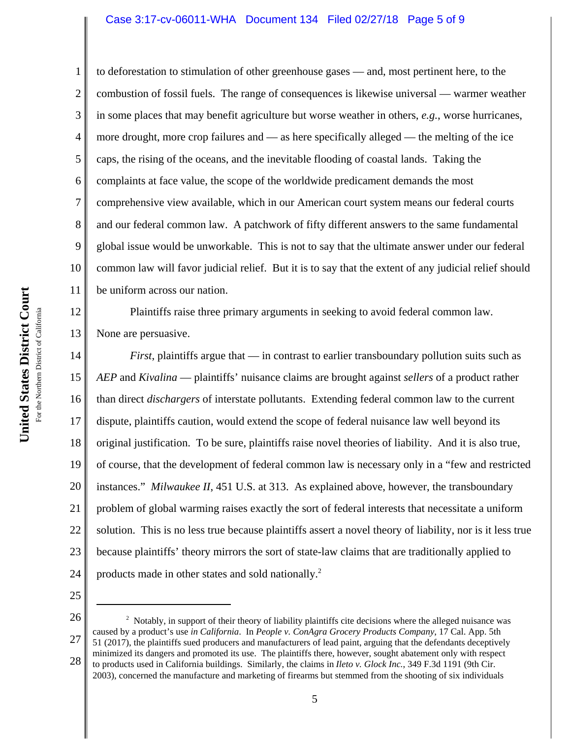#### Case 3:17-cv-06011-WHA Document 134 Filed 02/27/18 Page 5 of 9

1 2 3 4 5 6 7 8 9 10 11 to deforestation to stimulation of other greenhouse gases — and, most pertinent here, to the combustion of fossil fuels. The range of consequences is likewise universal — warmer weather in some places that may benefit agriculture but worse weather in others, *e.g.*, worse hurricanes, more drought, more crop failures and — as here specifically alleged — the melting of the ice caps, the rising of the oceans, and the inevitable flooding of coastal lands. Taking the complaints at face value, the scope of the worldwide predicament demands the most comprehensive view available, which in our American court system means our federal courts and our federal common law. A patchwork of fifty different answers to the same fundamental global issue would be unworkable. This is not to say that the ultimate answer under our federal common law will favor judicial relief. But it is to say that the extent of any judicial relief should be uniform across our nation.

12 13 Plaintiffs raise three primary arguments in seeking to avoid federal common law. None are persuasive.

14 15 16 17 18 19 20 21 22 23 24 *First*, plaintiffs argue that — in contrast to earlier transboundary pollution suits such as *AEP* and *Kivalina* — plaintiffs' nuisance claims are brought against *sellers* of a product rather than direct *dischargers* of interstate pollutants. Extending federal common law to the current dispute, plaintiffs caution, would extend the scope of federal nuisance law well beyond its original justification. To be sure, plaintiffs raise novel theories of liability. And it is also true, of course, that the development of federal common law is necessary only in a "few and restricted instances." *Milwaukee II*, 451 U.S. at 313. As explained above, however, the transboundary problem of global warming raises exactly the sort of federal interests that necessitate a uniform solution. This is no less true because plaintiffs assert a novel theory of liability, nor is it less true because plaintiffs' theory mirrors the sort of state-law claims that are traditionally applied to products made in other states and sold nationally.<sup>2</sup>

25

26 27 28  $2$  Notably, in support of their theory of liability plaintiffs cite decisions where the alleged nuisance was caused by a product's use *in California*. In *People v. ConAgra Grocery Products Company*, 17 Cal. App. 5th 51 (2017), the plaintiffs sued producers and manufacturers of lead paint, arguing that the defendants deceptively minimized its dangers and promoted its use. The plaintiffs there, however, sought abatement only with respect to products used in California buildings. Similarly, the claims in *Ileto v. Glock Inc.*, 349 F.3d 1191 (9th Cir. 2003), concerned the manufacture and marketing of firearms but stemmed from the shooting of six individuals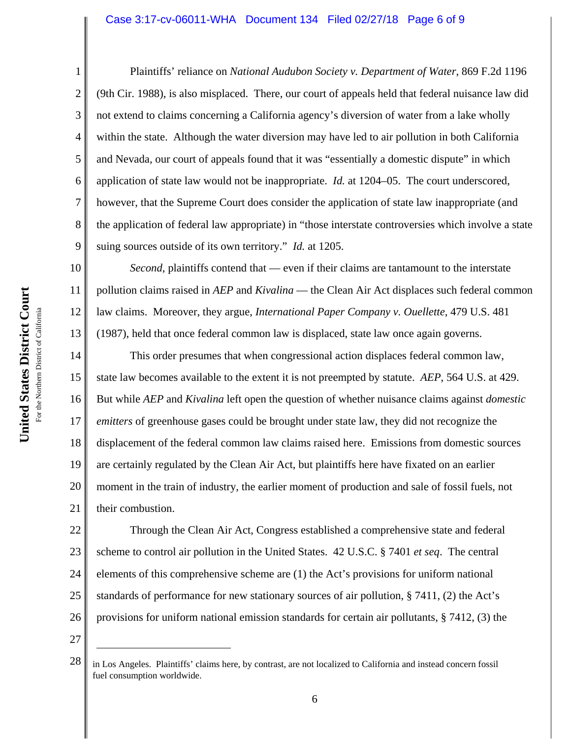#### Case 3:17-cv-06011-WHA Document 134 Filed 02/27/18 Page 6 of 9

Plaintiffs' reliance on *National Audubon Society v. Department of Water*, 869 F.2d 1196 (9th Cir. 1988), is also misplaced. There, our court of appeals held that federal nuisance law did not extend to claims concerning a California agency's diversion of water from a lake wholly within the state. Although the water diversion may have led to air pollution in both California and Nevada, our court of appeals found that it was "essentially a domestic dispute" in which application of state law would not be inappropriate. *Id.* at 1204–05. The court underscored, however, that the Supreme Court does consider the application of state law inappropriate (and the application of federal law appropriate) in "those interstate controversies which involve a state suing sources outside of its own territory." *Id.* at 1205.

*Second*, plaintiffs contend that — even if their claims are tantamount to the interstate pollution claims raised in *AEP* and *Kivalina* — the Clean Air Act displaces such federal common law claims. Moreover, they argue, *International Paper Company v. Ouellette*, 479 U.S. 481 (1987), held that once federal common law is displaced, state law once again governs.

14 15 16 17 18 19 20 21 This order presumes that when congressional action displaces federal common law, state law becomes available to the extent it is not preempted by statute. *AEP*, 564 U.S. at 429. But while *AEP* and *Kivalina* left open the question of whether nuisance claims against *domestic emitters* of greenhouse gases could be brought under state law, they did not recognize the displacement of the federal common law claims raised here. Emissions from domestic sources are certainly regulated by the Clean Air Act, but plaintiffs here have fixated on an earlier moment in the train of industry, the earlier moment of production and sale of fossil fuels, not their combustion.

22 23 24 25 26 Through the Clean Air Act, Congress established a comprehensive state and federal scheme to control air pollution in the United States. 42 U.S.C. § 7401 *et seq*. The central elements of this comprehensive scheme are (1) the Act's provisions for uniform national standards of performance for new stationary sources of air pollution, § 7411, (2) the Act's provisions for uniform national emission standards for certain air pollutants, § 7412, (3) the

27

1

2

3

4

5

6

7

8

9

10

11

12

<sup>28</sup> in Los Angeles. Plaintiffs' claims here, by contrast, are not localized to California and instead concern fossil fuel consumption worldwide.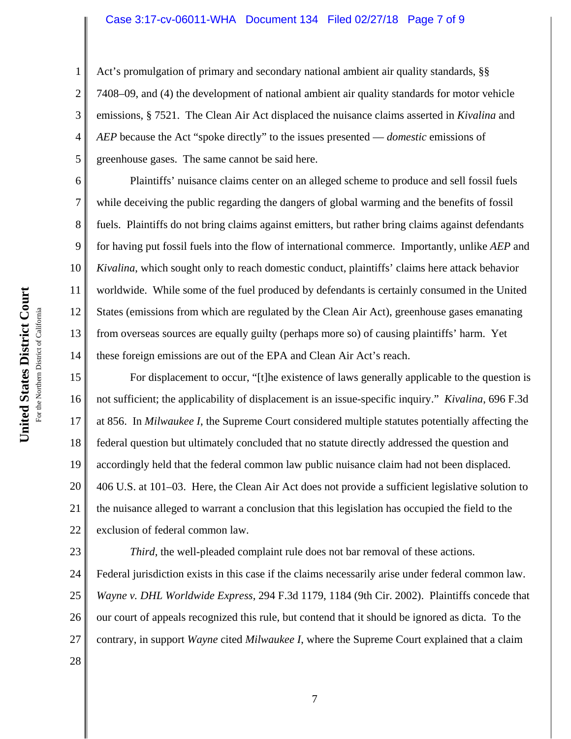#### Case 3:17-cv-06011-WHA Document 134 Filed 02/27/18 Page 7 of 9

Act's promulgation of primary and secondary national ambient air quality standards, §§ 7408–09, and (4) the development of national ambient air quality standards for motor vehicle emissions, § 7521. The Clean Air Act displaced the nuisance claims asserted in *Kivalina* and *AEP* because the Act "spoke directly" to the issues presented — *domestic* emissions of greenhouse gases. The same cannot be said here.

Plaintiffs' nuisance claims center on an alleged scheme to produce and sell fossil fuels while deceiving the public regarding the dangers of global warming and the benefits of fossil fuels. Plaintiffs do not bring claims against emitters, but rather bring claims against defendants for having put fossil fuels into the flow of international commerce. Importantly, unlike *AEP* and *Kivalina*, which sought only to reach domestic conduct, plaintiffs' claims here attack behavior worldwide. While some of the fuel produced by defendants is certainly consumed in the United States (emissions from which are regulated by the Clean Air Act), greenhouse gases emanating from overseas sources are equally guilty (perhaps more so) of causing plaintiffs' harm. Yet these foreign emissions are out of the EPA and Clean Air Act's reach.

15 16 17 18 19 20 21 22 For displacement to occur, "[t]he existence of laws generally applicable to the question is not sufficient; the applicability of displacement is an issue-specific inquiry." *Kivalina*, 696 F.3d at 856. In *Milwaukee I*, the Supreme Court considered multiple statutes potentially affecting the federal question but ultimately concluded that no statute directly addressed the question and accordingly held that the federal common law public nuisance claim had not been displaced. 406 U.S. at 101–03. Here, the Clean Air Act does not provide a sufficient legislative solution to the nuisance alleged to warrant a conclusion that this legislation has occupied the field to the exclusion of federal common law.

23 24 25 26 27 *Third*, the well-pleaded complaint rule does not bar removal of these actions. Federal jurisdiction exists in this case if the claims necessarily arise under federal common law. *Wayne v. DHL Worldwide Express*, 294 F.3d 1179, 1184 (9th Cir. 2002). Plaintiffs concede that our court of appeals recognized this rule, but contend that it should be ignored as dicta. To the contrary, in support *Wayne* cited *Milwaukee I*, where the Supreme Court explained that a claim

United States District Court **United States District Court** For the Northern District of California For the Northern District of California 1

2

3

4

5

6

7

8

9

10

11

12

13

14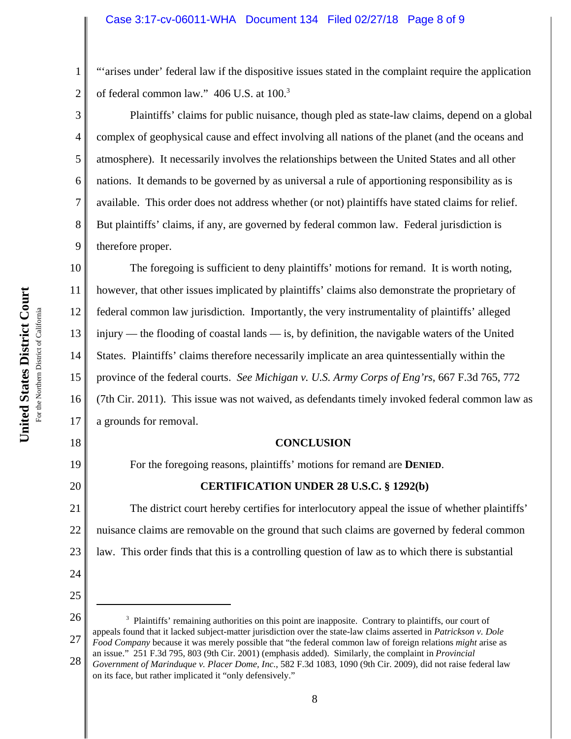"'arises under' federal law if the dispositive issues stated in the complaint require the application of federal common law." 406 U.S. at 100.<sup>3</sup>

Plaintiffs' claims for public nuisance, though pled as state-law claims, depend on a global complex of geophysical cause and effect involving all nations of the planet (and the oceans and atmosphere). It necessarily involves the relationships between the United States and all other nations. It demands to be governed by as universal a rule of apportioning responsibility as is available. This order does not address whether (or not) plaintiffs have stated claims for relief. But plaintiffs' claims, if any, are governed by federal common law. Federal jurisdiction is therefore proper.

10 11 12 13 14 15 16 17 The foregoing is sufficient to deny plaintiffs' motions for remand. It is worth noting, however, that other issues implicated by plaintiffs' claims also demonstrate the proprietary of federal common law jurisdiction. Importantly, the very instrumentality of plaintiffs' alleged injury — the flooding of coastal lands — is, by definition, the navigable waters of the United States. Plaintiffs' claims therefore necessarily implicate an area quintessentially within the province of the federal courts. *See Michigan v. U.S. Army Corps of Eng'rs*, 667 F.3d 765, 772 (7th Cir. 2011). This issue was not waived, as defendants timely invoked federal common law as a grounds for removal.

#### **CONCLUSION**

For the foregoing reasons, plaintiffs' motions for remand are **DENIED**.

### **CERTIFICATION UNDER 28 U.S.C. § 1292(b)**

21 22 23 The district court hereby certifies for interlocutory appeal the issue of whether plaintiffs' nuisance claims are removable on the ground that such claims are governed by federal common law. This order finds that this is a controlling question of law as to which there is substantial

1

2

3

4

5

6

7

8

9

18

19

20

24

25

**United States District Court**

<sup>26</sup> 27 <sup>3</sup> Plaintiffs' remaining authorities on this point are inapposite. Contrary to plaintiffs, our court of appeals found that it lacked subject-matter jurisdiction over the state-law claims asserted in *Patrickson v. Dole Food Company* because it was merely possible that "the federal common law of foreign relations *might* arise as an issue." 251 F.3d 795, 803 (9th Cir. 2001) (emphasis added). Similarly, the complaint in *Provincial*

<sup>28</sup> *Government of Marinduque v. Placer Dome, Inc.*, 582 F.3d 1083, 1090 (9th Cir. 2009), did not raise federal law on its face, but rather implicated it "only defensively."